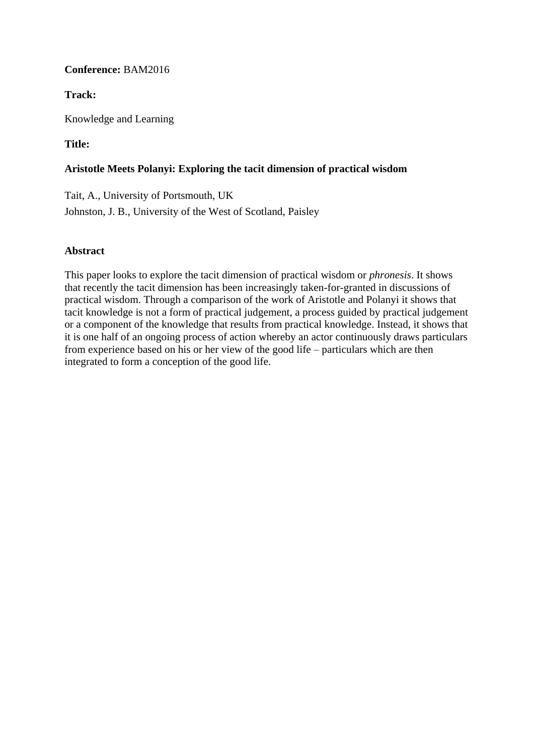# **Conference:** BAM2016

# **Track:**

Knowledge and Learning

# **Title:**

## **Aristotle Meets Polanyi: Exploring the tacit dimension of practical wisdom**

Tait, A., University of Portsmouth, UK Johnston, J. B., University of the West of Scotland, Paisley

## **Abstract**

This paper looks to explore the tacit dimension of practical wisdom or *phronesis*. It shows that recently the tacit dimension has been increasingly taken-for-granted in discussions of practical wisdom. Through a comparison of the work of Aristotle and Polanyi it shows that tacit knowledge is not a form of practical judgement, a process guided by practical judgement or a component of the knowledge that results from practical knowledge. Instead, it shows that it is one half of an ongoing process of action whereby an actor continuously draws particulars from experience based on his or her view of the good life – particulars which are then integrated to form a conception of the good life.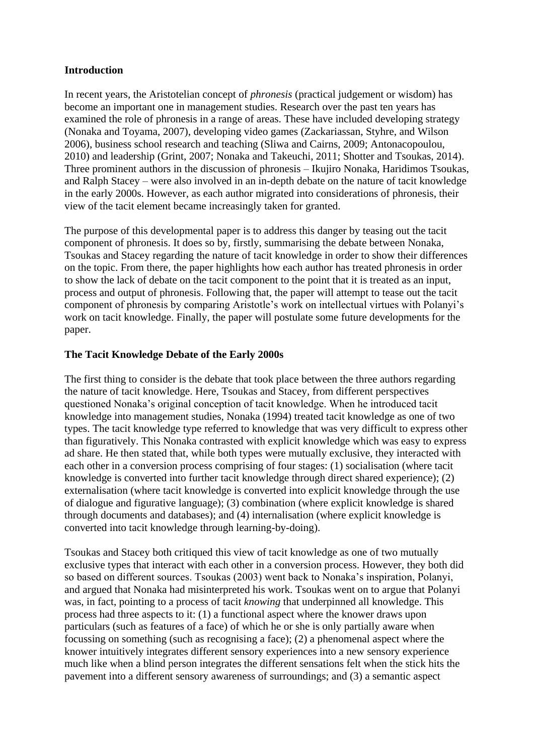## **Introduction**

In recent years, the Aristotelian concept of *phronesis* (practical judgement or wisdom) has become an important one in management studies. Research over the past ten years has examined the role of phronesis in a range of areas. These have included developing strategy (Nonaka and Toyama, 2007), developing video games (Zackariassan, Styhre, and Wilson 2006), business school research and teaching (Sliwa and Cairns, 2009; Antonacopoulou, 2010) and leadership (Grint, 2007; Nonaka and Takeuchi, 2011; Shotter and Tsoukas, 2014). Three prominent authors in the discussion of phronesis – Ikujiro Nonaka, Haridimos Tsoukas, and Ralph Stacey – were also involved in an in-depth debate on the nature of tacit knowledge in the early 2000s. However, as each author migrated into considerations of phronesis, their view of the tacit element became increasingly taken for granted.

The purpose of this developmental paper is to address this danger by teasing out the tacit component of phronesis. It does so by, firstly, summarising the debate between Nonaka, Tsoukas and Stacey regarding the nature of tacit knowledge in order to show their differences on the topic. From there, the paper highlights how each author has treated phronesis in order to show the lack of debate on the tacit component to the point that it is treated as an input, process and output of phronesis. Following that, the paper will attempt to tease out the tacit component of phronesis by comparing Aristotle's work on intellectual virtues with Polanyi's work on tacit knowledge. Finally, the paper will postulate some future developments for the paper.

# **The Tacit Knowledge Debate of the Early 2000s**

The first thing to consider is the debate that took place between the three authors regarding the nature of tacit knowledge. Here, Tsoukas and Stacey, from different perspectives questioned Nonaka's original conception of tacit knowledge. When he introduced tacit knowledge into management studies, Nonaka (1994) treated tacit knowledge as one of two types. The tacit knowledge type referred to knowledge that was very difficult to express other than figuratively. This Nonaka contrasted with explicit knowledge which was easy to express ad share. He then stated that, while both types were mutually exclusive, they interacted with each other in a conversion process comprising of four stages: (1) socialisation (where tacit knowledge is converted into further tacit knowledge through direct shared experience); (2) externalisation (where tacit knowledge is converted into explicit knowledge through the use of dialogue and figurative language); (3) combination (where explicit knowledge is shared through documents and databases); and (4) internalisation (where explicit knowledge is converted into tacit knowledge through learning-by-doing).

Tsoukas and Stacey both critiqued this view of tacit knowledge as one of two mutually exclusive types that interact with each other in a conversion process. However, they both did so based on different sources. Tsoukas (2003) went back to Nonaka's inspiration, Polanyi, and argued that Nonaka had misinterpreted his work. Tsoukas went on to argue that Polanyi was, in fact, pointing to a process of tacit *knowing* that underpinned all knowledge. This process had three aspects to it: (1) a functional aspect where the knower draws upon particulars (such as features of a face) of which he or she is only partially aware when focussing on something (such as recognising a face); (2) a phenomenal aspect where the knower intuitively integrates different sensory experiences into a new sensory experience much like when a blind person integrates the different sensations felt when the stick hits the pavement into a different sensory awareness of surroundings; and (3) a semantic aspect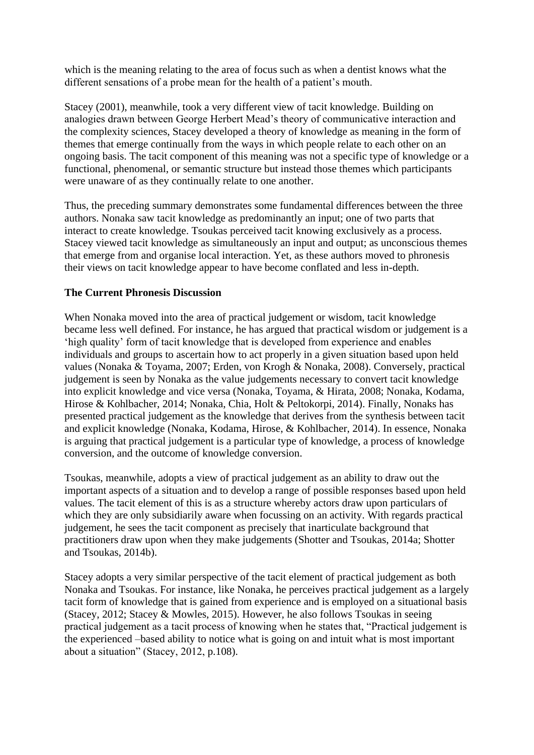which is the meaning relating to the area of focus such as when a dentist knows what the different sensations of a probe mean for the health of a patient's mouth.

Stacey (2001), meanwhile, took a very different view of tacit knowledge. Building on analogies drawn between George Herbert Mead's theory of communicative interaction and the complexity sciences, Stacey developed a theory of knowledge as meaning in the form of themes that emerge continually from the ways in which people relate to each other on an ongoing basis. The tacit component of this meaning was not a specific type of knowledge or a functional, phenomenal, or semantic structure but instead those themes which participants were unaware of as they continually relate to one another.

Thus, the preceding summary demonstrates some fundamental differences between the three authors. Nonaka saw tacit knowledge as predominantly an input; one of two parts that interact to create knowledge. Tsoukas perceived tacit knowing exclusively as a process. Stacey viewed tacit knowledge as simultaneously an input and output; as unconscious themes that emerge from and organise local interaction. Yet, as these authors moved to phronesis their views on tacit knowledge appear to have become conflated and less in-depth.

## **The Current Phronesis Discussion**

When Nonaka moved into the area of practical judgement or wisdom, tacit knowledge became less well defined. For instance, he has argued that practical wisdom or judgement is a 'high quality' form of tacit knowledge that is developed from experience and enables individuals and groups to ascertain how to act properly in a given situation based upon held values (Nonaka & Toyama, 2007; Erden, von Krogh & Nonaka, 2008). Conversely, practical judgement is seen by Nonaka as the value judgements necessary to convert tacit knowledge into explicit knowledge and vice versa (Nonaka, Toyama, & Hirata, 2008; Nonaka, Kodama, Hirose & Kohlbacher, 2014; Nonaka, Chia, Holt & Peltokorpi, 2014). Finally, Nonaks has presented practical judgement as the knowledge that derives from the synthesis between tacit and explicit knowledge (Nonaka, Kodama, Hirose, & Kohlbacher, 2014). In essence, Nonaka is arguing that practical judgement is a particular type of knowledge, a process of knowledge conversion, and the outcome of knowledge conversion.

Tsoukas, meanwhile, adopts a view of practical judgement as an ability to draw out the important aspects of a situation and to develop a range of possible responses based upon held values. The tacit element of this is as a structure whereby actors draw upon particulars of which they are only subsidiarily aware when focussing on an activity. With regards practical judgement, he sees the tacit component as precisely that inarticulate background that practitioners draw upon when they make judgements (Shotter and Tsoukas, 2014a; Shotter and Tsoukas, 2014b).

Stacey adopts a very similar perspective of the tacit element of practical judgement as both Nonaka and Tsoukas. For instance, like Nonaka, he perceives practical judgement as a largely tacit form of knowledge that is gained from experience and is employed on a situational basis (Stacey, 2012; Stacey & Mowles, 2015). However, he also follows Tsoukas in seeing practical judgement as a tacit process of knowing when he states that, "Practical judgement is the experienced –based ability to notice what is going on and intuit what is most important about a situation" (Stacey, 2012, p.108).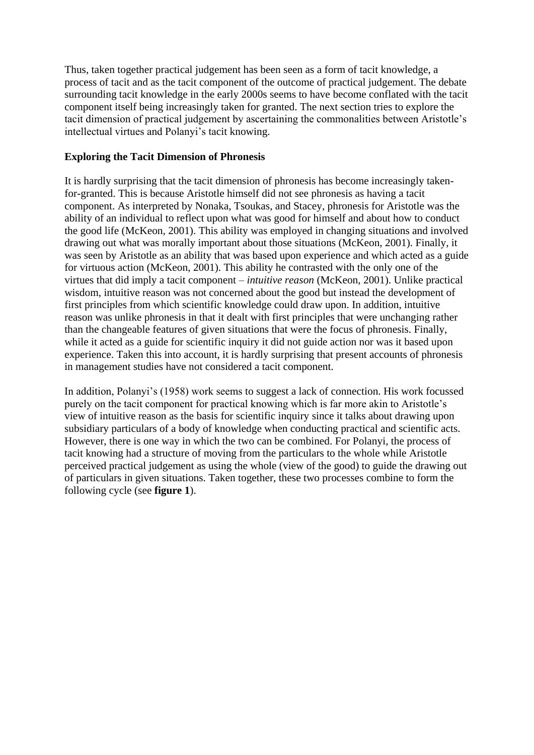Thus, taken together practical judgement has been seen as a form of tacit knowledge, a process of tacit and as the tacit component of the outcome of practical judgement. The debate surrounding tacit knowledge in the early 2000s seems to have become conflated with the tacit component itself being increasingly taken for granted. The next section tries to explore the tacit dimension of practical judgement by ascertaining the commonalities between Aristotle's intellectual virtues and Polanyi's tacit knowing.

#### **Exploring the Tacit Dimension of Phronesis**

It is hardly surprising that the tacit dimension of phronesis has become increasingly takenfor-granted. This is because Aristotle himself did not see phronesis as having a tacit component. As interpreted by Nonaka, Tsoukas, and Stacey, phronesis for Aristotle was the ability of an individual to reflect upon what was good for himself and about how to conduct the good life (McKeon, 2001). This ability was employed in changing situations and involved drawing out what was morally important about those situations (McKeon, 2001). Finally, it was seen by Aristotle as an ability that was based upon experience and which acted as a guide for virtuous action (McKeon, 2001). This ability he contrasted with the only one of the virtues that did imply a tacit component – *intuitive reason* (McKeon, 2001). Unlike practical wisdom, intuitive reason was not concerned about the good but instead the development of first principles from which scientific knowledge could draw upon. In addition, intuitive reason was unlike phronesis in that it dealt with first principles that were unchanging rather than the changeable features of given situations that were the focus of phronesis. Finally, while it acted as a guide for scientific inquiry it did not guide action nor was it based upon experience. Taken this into account, it is hardly surprising that present accounts of phronesis in management studies have not considered a tacit component.

In addition, Polanyi's (1958) work seems to suggest a lack of connection. His work focussed purely on the tacit component for practical knowing which is far more akin to Aristotle's view of intuitive reason as the basis for scientific inquiry since it talks about drawing upon subsidiary particulars of a body of knowledge when conducting practical and scientific acts. However, there is one way in which the two can be combined. For Polanyi, the process of tacit knowing had a structure of moving from the particulars to the whole while Aristotle perceived practical judgement as using the whole (view of the good) to guide the drawing out of particulars in given situations. Taken together, these two processes combine to form the following cycle (see **figure 1**).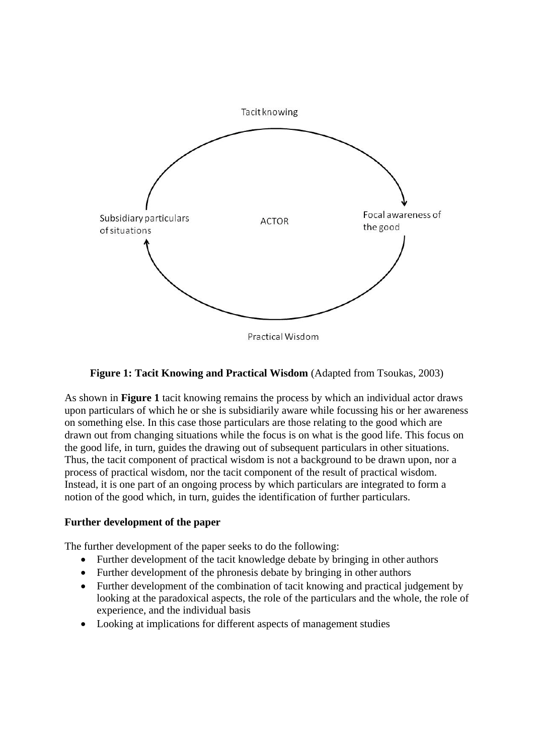

**Figure 1: Tacit Knowing and Practical Wisdom (Adapted from Tsoukas, 2003)** 

As shown in **Figure 1** tacit knowing remains the process by which an individual actor draws upon particulars of which he or she is subsidiarily aware while focussing his or her awareness on something else. In this case those particulars are those relating to the good which are drawn out from changing situations while the focus is on what is the good life. This focus on the good life, in turn, guides the drawing out of subsequent particulars in other situations. Thus, the tacit component of practical wisdom is not a background to be drawn upon, nor a process of practical wisdom, nor the tacit component of the result of practical wisdom. Instead, it is one part of an ongoing process by which particulars are integrated to form a notion of the good which, in turn, guides the identification of further particulars.

## **Further development of the paper**

The further development of the paper seeks to do the following:

- Further development of the tacit knowledge debate by bringing in other authors
- Further development of the phronesis debate by bringing in other authors
- Further development of the combination of tacit knowing and practical judgement by looking at the paradoxical aspects, the role of the particulars and the whole, the role of experience, and the individual basis
- Looking at implications for different aspects of management studies